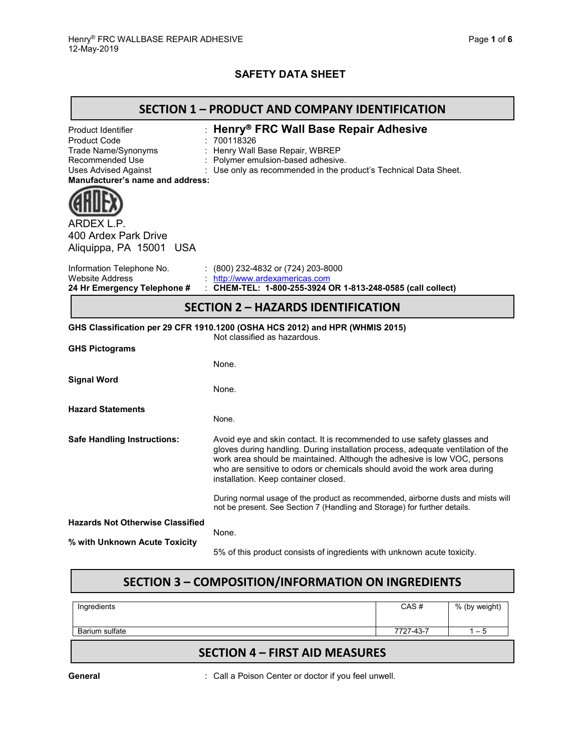## **SAFETY DATA SHEET**

| <b>SECTION 1 - PRODUCT AND COMPANY IDENTIFICATION</b>                                                                                                  |                                                                                                                                                                                                                                                                                                                                                               |  |  |  |
|--------------------------------------------------------------------------------------------------------------------------------------------------------|---------------------------------------------------------------------------------------------------------------------------------------------------------------------------------------------------------------------------------------------------------------------------------------------------------------------------------------------------------------|--|--|--|
| Product Identifier<br><b>Product Code</b><br>Trade Name/Synonyms<br>Recommended Use<br><b>Uses Advised Against</b><br>Manufacturer's name and address: | Henry® FRC Wall Base Repair Adhesive<br>700118326<br>Henry Wall Base Repair, WBREP<br>Polymer emulsion-based adhesive.<br>Use only as recommended in the product's Technical Data Sheet.                                                                                                                                                                      |  |  |  |
| ARDEX L.P.<br>400 Ardex Park Drive<br>Aliquippa, PA 15001 USA                                                                                          |                                                                                                                                                                                                                                                                                                                                                               |  |  |  |
| Information Telephone No.<br><b>Website Address</b><br>24 Hr Emergency Telephone #                                                                     | : $(800)$ 232-4832 or $(724)$ 203-8000<br>http://www.ardexamericas.com<br>: CHEM-TEL: 1-800-255-3924 OR 1-813-248-0585 (call collect)                                                                                                                                                                                                                         |  |  |  |
| <b>SECTION 2 - HAZARDS IDENTIFICATION</b>                                                                                                              |                                                                                                                                                                                                                                                                                                                                                               |  |  |  |
|                                                                                                                                                        | GHS Classification per 29 CFR 1910.1200 (OSHA HCS 2012) and HPR (WHMIS 2015)<br>Not classified as hazardous.                                                                                                                                                                                                                                                  |  |  |  |
| <b>GHS Pictograms</b>                                                                                                                                  |                                                                                                                                                                                                                                                                                                                                                               |  |  |  |
|                                                                                                                                                        | None.                                                                                                                                                                                                                                                                                                                                                         |  |  |  |
| <b>Signal Word</b>                                                                                                                                     | None.                                                                                                                                                                                                                                                                                                                                                         |  |  |  |
| <b>Hazard Statements</b>                                                                                                                               | None.                                                                                                                                                                                                                                                                                                                                                         |  |  |  |
| <b>Safe Handling Instructions:</b>                                                                                                                     | Avoid eye and skin contact. It is recommended to use safety glasses and<br>gloves during handling. During installation process, adequate ventilation of the<br>work area should be maintained. Although the adhesive is low VOC, persons<br>who are sensitive to odors or chemicals should avoid the work area during<br>installation. Keep container closed. |  |  |  |
|                                                                                                                                                        | During normal usage of the product as recommended, airborne dusts and mists will<br>not be present. See Section 7 (Handling and Storage) for further details.                                                                                                                                                                                                 |  |  |  |
| <b>Hazards Not Otherwise Classified</b>                                                                                                                | None.                                                                                                                                                                                                                                                                                                                                                         |  |  |  |
| % with Unknown Acute Toxicity                                                                                                                          |                                                                                                                                                                                                                                                                                                                                                               |  |  |  |
|                                                                                                                                                        | 5% of this product consists of ingredients with unknown acute toxicity.                                                                                                                                                                                                                                                                                       |  |  |  |

# **SECTION 3 – COMPOSITION/INFORMATION ON INGREDIENTS**

| Ingredients    |                                  | CAS#      | % (by weight) |
|----------------|----------------------------------|-----------|---------------|
| Barium sulfate |                                  | 7727-43-7 | . – ხ         |
| --------       | $-1 - 2 - 1 - 1 - 1 - 1 - 1 - 2$ |           |               |

## **SECTION 4 – FIRST AID MEASURES**

General **General** : Call a Poison Center or doctor if you feel unwell.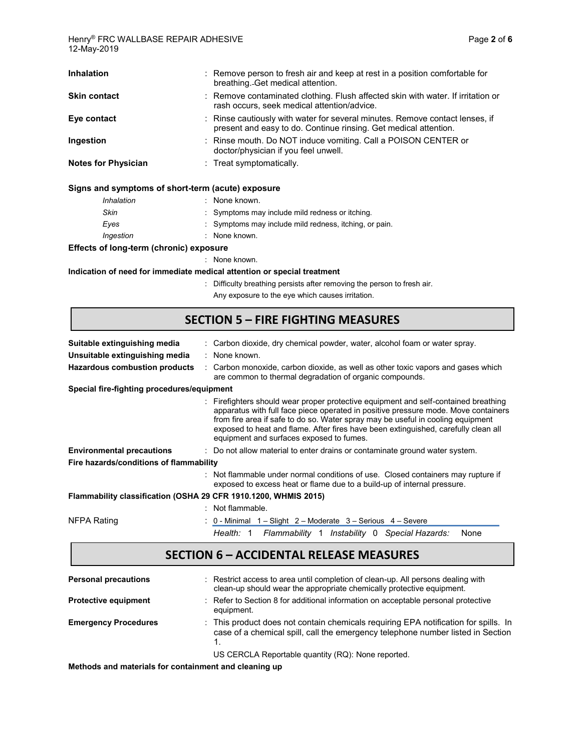| <b>Inhalation</b>                                 | : Remove person to fresh air and keep at rest in a position comfortable for<br>breathing. Get medical attention.                                 |
|---------------------------------------------------|--------------------------------------------------------------------------------------------------------------------------------------------------|
| <b>Skin contact</b>                               | : Remove contaminated clothing. Flush affected skin with water. If irritation or<br>rash occurs, seek medical attention/advice.                  |
| Eye contact                                       | : Rinse cautiously with water for several minutes. Remove contact lenses, if<br>present and easy to do. Continue rinsing. Get medical attention. |
| Ingestion                                         | : Rinse mouth. Do NOT induce vomiting. Call a POISON CENTER or<br>doctor/physician if you feel unwell.                                           |
| <b>Notes for Physician</b>                        | $:$ Treat symptomatically.                                                                                                                       |
| Signs and symptoms of short-term (acute) exposure |                                                                                                                                                  |
| Inhalation                                        | : None known.                                                                                                                                    |
| $O_{kin}$                                         | . Cumptomo mou include mild rednese er itebing                                                                                                   |

| Skin      | : Symptoms may include mild redness or itching.        |
|-----------|--------------------------------------------------------|
| Eves      | : Symptoms may include mild redness, itching, or pain. |
| Ingestion | : None known.                                          |

#### **Effects of long-term (chronic) exposure**

: None known.

**Indication of need for immediate medical attention or special treatment**

- : Difficulty breathing persists after removing the person to fresh air.
	- Any exposure to the eye which causes irritation.

### **SECTION 5 – FIRE FIGHTING MEASURES**

| Suitable extinguishing media                                    | : Carbon dioxide, dry chemical powder, water, alcohol foam or water spray.                                                                                                                                                                                                                                                                                                                     |
|-----------------------------------------------------------------|------------------------------------------------------------------------------------------------------------------------------------------------------------------------------------------------------------------------------------------------------------------------------------------------------------------------------------------------------------------------------------------------|
| Unsuitable extinguishing media                                  | : None known.                                                                                                                                                                                                                                                                                                                                                                                  |
| <b>Hazardous combustion products</b>                            | : Carbon monoxide, carbon dioxide, as well as other toxic vapors and gases which<br>are common to thermal degradation of organic compounds.                                                                                                                                                                                                                                                    |
| Special fire-fighting procedures/equipment                      |                                                                                                                                                                                                                                                                                                                                                                                                |
|                                                                 | : Firefighters should wear proper protective equipment and self-contained breathing<br>apparatus with full face piece operated in positive pressure mode. Move containers<br>from fire area if safe to do so. Water spray may be useful in cooling equipment<br>exposed to heat and flame. After fires have been extinguished, carefully clean all<br>equipment and surfaces exposed to fumes. |
| <b>Environmental precautions</b>                                | : Do not allow material to enter drains or contaminate ground water system.                                                                                                                                                                                                                                                                                                                    |
| Fire hazards/conditions of flammability                         |                                                                                                                                                                                                                                                                                                                                                                                                |
|                                                                 | : Not flammable under normal conditions of use. Closed containers may rupture if<br>exposed to excess heat or flame due to a build-up of internal pressure.                                                                                                                                                                                                                                    |
| Flammability classification (OSHA 29 CFR 1910.1200, WHMIS 2015) |                                                                                                                                                                                                                                                                                                                                                                                                |
|                                                                 | : Not flammable.                                                                                                                                                                                                                                                                                                                                                                               |
| NFPA Rating                                                     | : 0 - Minimal 1 – Slight 2 – Moderate 3 – Serious 4 – Severe                                                                                                                                                                                                                                                                                                                                   |
|                                                                 | Flammability 1 Instability 0 Special Hazards:<br>Health: 1<br>None                                                                                                                                                                                                                                                                                                                             |

#### **SECTION 6 – ACCIDENTAL RELEASE MEASURES**

| <b>Personal precautions</b> | : Restrict access to area until completion of clean-up. All persons dealing with<br>clean-up should wear the appropriate chemically protective equipment.              |
|-----------------------------|------------------------------------------------------------------------------------------------------------------------------------------------------------------------|
| <b>Protective equipment</b> | : Refer to Section 8 for additional information on acceptable personal protective<br>equipment.                                                                        |
| <b>Emergency Procedures</b> | : This product does not contain chemicals requiring EPA notification for spills. In<br>case of a chemical spill, call the emergency telephone number listed in Section |
|                             | US CERCLA Reportable quantity (RQ): None reported.                                                                                                                     |

**Methods and materials for containment and cleaning up**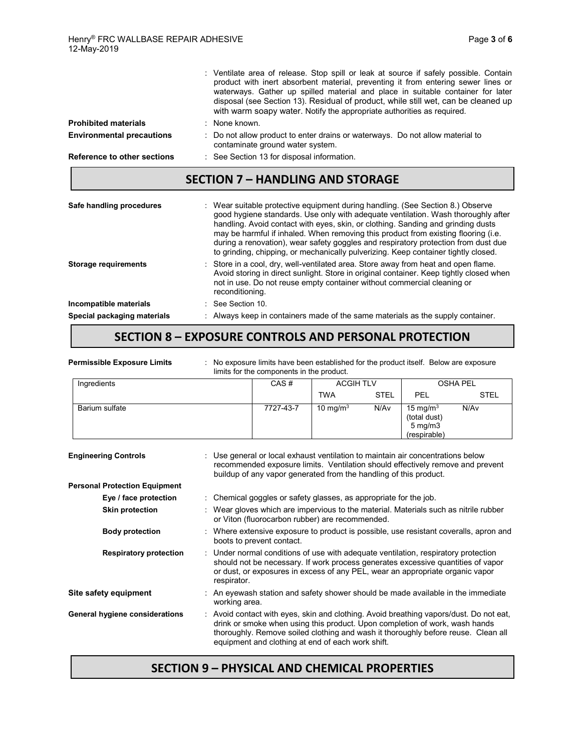|                                  | : Ventilate area of release. Stop spill or leak at source if safely possible. Contain<br>product with inert absorbent material, preventing it from entering sewer lines or<br>waterways. Gather up spilled material and place in suitable container for later<br>disposal (see Section 13). Residual of product, while still wet, can be cleaned up<br>with warm soapy water. Notify the appropriate authorities as required.                                                                                             |
|----------------------------------|---------------------------------------------------------------------------------------------------------------------------------------------------------------------------------------------------------------------------------------------------------------------------------------------------------------------------------------------------------------------------------------------------------------------------------------------------------------------------------------------------------------------------|
| <b>Prohibited materials</b>      | : None known.                                                                                                                                                                                                                                                                                                                                                                                                                                                                                                             |
| <b>Environmental precautions</b> | : Do not allow product to enter drains or waterways. Do not allow material to<br>contaminate ground water system.                                                                                                                                                                                                                                                                                                                                                                                                         |
| Reference to other sections      | : See Section 13 for disposal information.                                                                                                                                                                                                                                                                                                                                                                                                                                                                                |
|                                  | <b>SECTION 7 - HANDLING AND STORAGE</b>                                                                                                                                                                                                                                                                                                                                                                                                                                                                                   |
| Safe handling procedures         | : Wear suitable protective equipment during handling. (See Section 8.) Observe<br>good hygiene standards. Use only with adequate ventilation. Wash thoroughly after<br>handling. Avoid contact with eyes, skin, or clothing. Sanding and grinding dusts<br>may be harmful if inhaled. When removing this product from existing flooring (i.e.<br>during a renovation), wear safety goggles and respiratory protection from dust due<br>to grinding, chipping, or mechanically pulverizing. Keep container tightly closed. |
| <b>Storage requirements</b>      | : Store in a cool, dry, well-ventilated area. Store away from heat and open flame.<br>Avoid storing in direct sunlight. Store in original container. Keep tightly closed when<br>not in use. Do not reuse empty container without commercial cleaning or<br>reconditioning.                                                                                                                                                                                                                                               |
| Incompatible materials           | : See Section 10                                                                                                                                                                                                                                                                                                                                                                                                                                                                                                          |
|                                  |                                                                                                                                                                                                                                                                                                                                                                                                                                                                                                                           |

#### **SECTION 8 – EXPOSURE CONTROLS AND PERSONAL PROTECTION**

| <b>Permissible Exposure Limits</b>   | No exposure limits have been established for the product itself. Below are exposure<br>limits for the components in the product.                                                                                                                                                                                |                  |             |                                                                 |                 |
|--------------------------------------|-----------------------------------------------------------------------------------------------------------------------------------------------------------------------------------------------------------------------------------------------------------------------------------------------------------------|------------------|-------------|-----------------------------------------------------------------|-----------------|
| Ingredients                          | CAS#                                                                                                                                                                                                                                                                                                            | <b>ACGIH TLV</b> |             |                                                                 | <b>OSHA PEL</b> |
|                                      |                                                                                                                                                                                                                                                                                                                 | <b>TWA</b>       | <b>STEL</b> | PEL                                                             | <b>STEL</b>     |
| Barium sulfate                       | 7727-43-7                                                                                                                                                                                                                                                                                                       | 10 mg/m $3$      | N/Av        | 15 mg/ $m3$<br>(total dust)<br>$5 \text{ mg/m}$<br>(respirable) | N/Av            |
| <b>Engineering Controls</b>          | Use general or local exhaust ventilation to maintain air concentrations below<br>recommended exposure limits. Ventilation should effectively remove and prevent<br>buildup of any vapor generated from the handling of this product.                                                                            |                  |             |                                                                 |                 |
| <b>Personal Protection Equipment</b> |                                                                                                                                                                                                                                                                                                                 |                  |             |                                                                 |                 |
| Eye / face protection                | Chemical goggles or safety glasses, as appropriate for the job.                                                                                                                                                                                                                                                 |                  |             |                                                                 |                 |
| <b>Skin protection</b>               | Wear gloves which are impervious to the material. Materials such as nitrile rubber<br>or Viton (fluorocarbon rubber) are recommended.                                                                                                                                                                           |                  |             |                                                                 |                 |
| <b>Body protection</b>               | Where extensive exposure to product is possible, use resistant coveralls, apron and<br>boots to prevent contact.                                                                                                                                                                                                |                  |             |                                                                 |                 |
| <b>Respiratory protection</b>        | Under normal conditions of use with adequate ventilation, respiratory protection<br>should not be necessary. If work process generates excessive quantities of vapor<br>or dust, or exposures in excess of any PEL, wear an appropriate organic vapor<br>respirator.                                            |                  |             |                                                                 |                 |
| Site safety equipment                | : An eyewash station and safety shower should be made available in the immediate<br>working area.                                                                                                                                                                                                               |                  |             |                                                                 |                 |
| General hygiene considerations       | : Avoid contact with eyes, skin and clothing. Avoid breathing vapors/dust. Do not eat,<br>drink or smoke when using this product. Upon completion of work, wash hands<br>thoroughly. Remove soiled clothing and wash it thoroughly before reuse. Clean all<br>equipment and clothing at end of each work shift. |                  |             |                                                                 |                 |

## **SECTION 9 – PHYSICAL AND CHEMICAL PROPERTIES**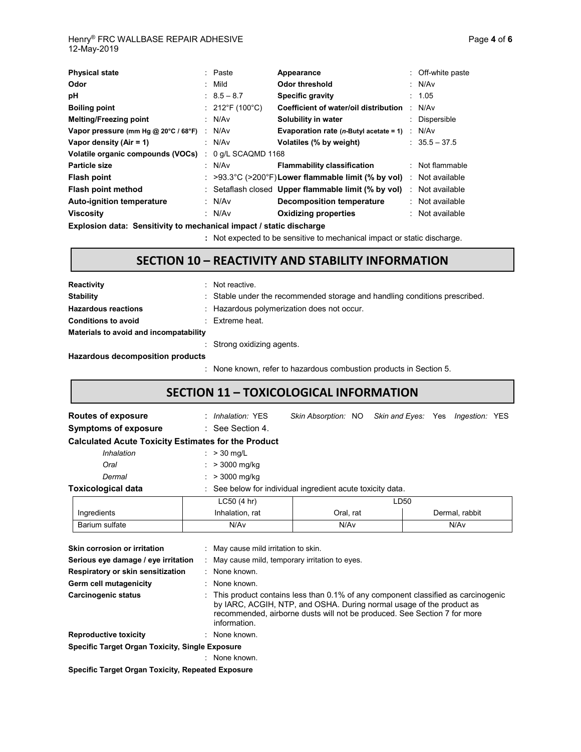| <b>Physical state</b>                |                | : Paste                        | Appearance                                                 | : Off-white paste |
|--------------------------------------|----------------|--------------------------------|------------------------------------------------------------|-------------------|
| Odor                                 |                | : Mild                         | <b>Odor threshold</b>                                      | : $N/Av$          |
| рH                                   |                | $: 8.5 - 8.7$                  | Specific gravity                                           | : 1.05            |
| <b>Boiling point</b>                 |                | : $212^{\circ}F(100^{\circ}C)$ | Coefficient of water/oil distribution                      | N/Av              |
| <b>Melting/Freezing point</b>        |                | : N/Av                         | Solubility in water                                        | : Dispersible     |
| Vapor pressure (mm Hg @ 20°C / 68°F) | $\mathbb{R}^n$ | N/Av                           | <b>Evaporation rate (n-Butyl acetate = 1)</b> : $N/Av$     |                   |
| Vapor density $(Air = 1)$            |                | : $N/Av$                       | Volatiles (% by weight)                                    | $: 35.5 - 37.5$   |
| Volatile organic compounds (VOCs)    | ÷              | 0 g/L SCAQMD 1168              |                                                            |                   |
| Particle size                        |                | : N/Av                         | <b>Flammability classification</b>                         | : Not flammable   |
| Flash point                          |                |                                | $\approx$ >93.3°C (>200°F)Lower flammable limit (% by vol) | : Not available   |
| Flash point method                   |                |                                | : Setaflash closed Upper flammable limit (% by vol)        | : Not available   |
| Auto-ignition temperature            |                | : $N/Av$                       | <b>Decomposition temperature</b>                           | : Not available   |
| <b>Viscosity</b>                     |                | : $N/Av$                       | <b>Oxidizing properties</b>                                | $:$ Not available |

**Explosion data: Sensitivity to mechanical impact / static discharge**

**:** Not expected to be sensitive to mechanical impact or static discharge.

## **SECTION 10 – REACTIVITY AND STABILITY INFORMATION**

| Reactivity                             | Not reactive.                                                              |
|----------------------------------------|----------------------------------------------------------------------------|
| <b>Stability</b>                       | : Stable under the recommended storage and handling conditions prescribed. |
| <b>Hazardous reactions</b>             | : Hazardous polymerization does not occur.                                 |
| <b>Conditions to avoid</b>             | $\therefore$ Extreme heat.                                                 |
| Materials to avoid and incompatability |                                                                            |
|                                        | : Strong oxidizing agents.                                                 |
| Hazardous decomposition products       |                                                                            |

: None known, refer to hazardous combustion products in Section 5.

### **SECTION 11 – TOXICOLOGICAL INFORMATION**

| Routes of exposure                                         |                                                                                                                                                                                                                                                      | : Inhalation: YES                                          | Skin Absorption: NO Skin and Eyes: Yes Ingestion: YES |      |      |  |                |  |  |
|------------------------------------------------------------|------------------------------------------------------------------------------------------------------------------------------------------------------------------------------------------------------------------------------------------------------|------------------------------------------------------------|-------------------------------------------------------|------|------|--|----------------|--|--|
| <b>Symptoms of exposure</b>                                |                                                                                                                                                                                                                                                      | $\therefore$ See Section 4.                                |                                                       |      |      |  |                |  |  |
| <b>Calculated Acute Toxicity Estimates for the Product</b> |                                                                                                                                                                                                                                                      |                                                            |                                                       |      |      |  |                |  |  |
| Inhalation                                                 |                                                                                                                                                                                                                                                      | : $> 30$ mg/L                                              |                                                       |      |      |  |                |  |  |
| Oral                                                       |                                                                                                                                                                                                                                                      | : $> 3000$ mg/kg                                           |                                                       |      |      |  |                |  |  |
| Dermal                                                     |                                                                                                                                                                                                                                                      | : $> 3000$ mg/kg                                           |                                                       |      |      |  |                |  |  |
| <b>Toxicological data</b>                                  |                                                                                                                                                                                                                                                      | : See below for individual ingredient acute toxicity data. |                                                       |      |      |  |                |  |  |
|                                                            |                                                                                                                                                                                                                                                      | LC50(4 hr)                                                 |                                                       |      | LD50 |  |                |  |  |
| Ingredients                                                |                                                                                                                                                                                                                                                      | Inhalation, rat<br>Oral, rat                               |                                                       |      |      |  | Dermal, rabbit |  |  |
| Barium sulfate                                             |                                                                                                                                                                                                                                                      | N/Av                                                       |                                                       | N/Av |      |  | N/Av           |  |  |
| Skin corrosion or irritation                               |                                                                                                                                                                                                                                                      | : May cause mild irritation to skin.                       |                                                       |      |      |  |                |  |  |
| Serious eye damage / eye irritation                        |                                                                                                                                                                                                                                                      | : May cause mild, temporary irritation to eyes.            |                                                       |      |      |  |                |  |  |
| : None known.<br>Respiratory or skin sensitization         |                                                                                                                                                                                                                                                      |                                                            |                                                       |      |      |  |                |  |  |
| Germ cell mutagenicity<br>None known.                      |                                                                                                                                                                                                                                                      |                                                            |                                                       |      |      |  |                |  |  |
| <b>Carcinogenic status</b>                                 | This product contains less than 0.1% of any component classified as carcinogenic<br>by IARC, ACGIH, NTP, and OSHA. During normal usage of the product as<br>recommended, airborne dusts will not be produced. See Section 7 for more<br>information. |                                                            |                                                       |      |      |  |                |  |  |
| <b>Reproductive toxicity</b>                               |                                                                                                                                                                                                                                                      | : None known.                                              |                                                       |      |      |  |                |  |  |
| <b>Specific Target Organ Toxicity, Single Exposure</b>     |                                                                                                                                                                                                                                                      |                                                            |                                                       |      |      |  |                |  |  |
|                                                            |                                                                                                                                                                                                                                                      | : None known.                                              |                                                       |      |      |  |                |  |  |
| <u> Casalfia Tannet Canan Tavislty, Democted Funescu</u>   |                                                                                                                                                                                                                                                      |                                                            |                                                       |      |      |  |                |  |  |

**Specific Target Organ Toxicity, Repeated Exposure**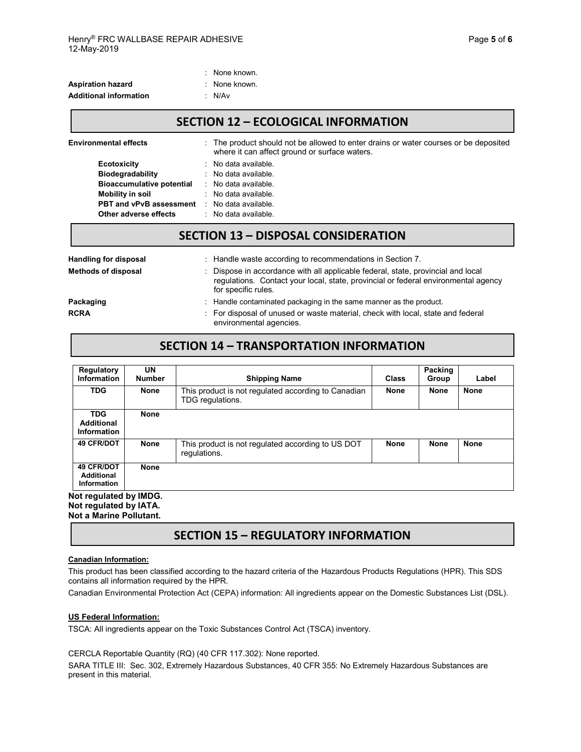|                               | . INUILE NIUWII. |
|-------------------------------|------------------|
| <b>Aspiration hazard</b>      | : None known.    |
| <b>Additional information</b> | : N/Av           |
|                               |                  |

: None known.

#### **SECTION 12 – ECOLOGICAL INFORMATION**

| <b>Environmental effects</b>                                                                 |  | : The product should not be allowed to enter drains or water courses or be deposited<br>where it can affect ground or surface waters. |  |  |  |
|----------------------------------------------------------------------------------------------|--|---------------------------------------------------------------------------------------------------------------------------------------|--|--|--|
| <b>Ecotoxicity</b>                                                                           |  | : No data available.                                                                                                                  |  |  |  |
| Biodegradability                                                                             |  | $\therefore$ No data available.                                                                                                       |  |  |  |
| <b>Bioaccumulative potential</b>                                                             |  | $\therefore$ No data available.                                                                                                       |  |  |  |
| Mobility in soil                                                                             |  | : No data available.                                                                                                                  |  |  |  |
| <b>PBT and vPvB assessment</b>                                                               |  | $\therefore$ No data available.                                                                                                       |  |  |  |
| Other adverse effects                                                                        |  | $\therefore$ No data available.                                                                                                       |  |  |  |
| <b>SECTION 13 - DISPOSAL CONSIDERATION</b>                                                   |  |                                                                                                                                       |  |  |  |
| .<br>tituda di concepta de capacita a famos de capacida de la contenenta de la contenenta de |  |                                                                                                                                       |  |  |  |

| <b>Handling for disposal</b> | : Handle waste according to recommendations in Section 7.                                                                                                                                     |  |
|------------------------------|-----------------------------------------------------------------------------------------------------------------------------------------------------------------------------------------------|--|
| <b>Methods of disposal</b>   | : Dispose in accordance with all applicable federal, state, provincial and local<br>regulations. Contact your local, state, provincial or federal environmental agency<br>for specific rules. |  |
| Packaging                    | : Handle contaminated packaging in the same manner as the product.                                                                                                                            |  |
| <b>RCRA</b>                  | : For disposal of unused or waste material, check with local, state and federal<br>environmental agencies.                                                                                    |  |

#### **SECTION 14 – TRANSPORTATION INFORMATION**

| Regulatory<br><b>Information</b>                      | UN<br><b>Number</b> | <b>Shipping Name</b>                                                    | <b>Class</b> | Packing<br>Group | Label       |
|-------------------------------------------------------|---------------------|-------------------------------------------------------------------------|--------------|------------------|-------------|
| <b>TDG</b>                                            | None                | This product is not regulated according to Canadian<br>TDG regulations. | <b>None</b>  | <b>None</b>      | <b>None</b> |
| <b>TDG</b><br><b>Additional</b><br>Information        | <b>None</b>         |                                                                         |              |                  |             |
| <b>49 CFR/DOT</b>                                     | <b>None</b>         | This product is not regulated according to US DOT<br>regulations.       | <b>None</b>  | <b>None</b>      | <b>None</b> |
| <b>49 CFR/DOT</b><br><b>Additional</b><br>Information | <b>None</b>         |                                                                         |              |                  |             |
| <b>DOMI</b> vd hetsluner tok                          |                     |                                                                         |              |                  |             |

**Not regulated by IMDG. Not regulated by IATA. Not a Marine Pollutant.**

#### **SECTION 15 – REGULATORY INFORMATION**

#### **Canadian Information:**

This product has been classified according to the hazard criteria of the Hazardous Products Regulations (HPR). This SDS contains all information required by the HPR.

Canadian Environmental Protection Act (CEPA) information: All ingredients appear on the Domestic Substances List (DSL).

#### **US Federal Information:**

TSCA: All ingredients appear on the Toxic Substances Control Act (TSCA) inventory.

CERCLA Reportable Quantity (RQ) (40 CFR 117.302): None reported.

SARA TITLE III: Sec. 302, Extremely Hazardous Substances, 40 CFR 355: No Extremely Hazardous Substances are present in this material.